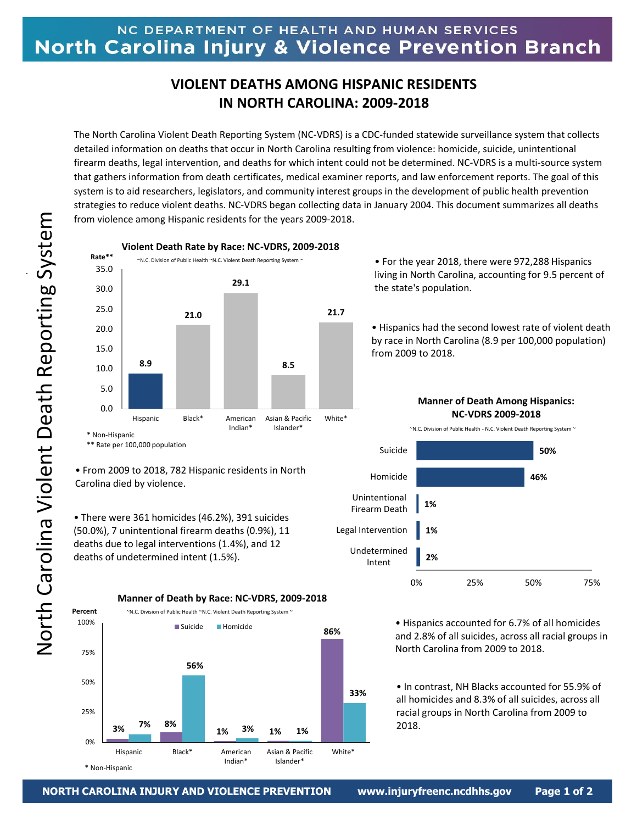## **VIOLENT DEATHS AMONG HISPANIC RESIDENTS IN NORTH CAROLINA: 2009-2018**

The North Carolina Violent Death Reporting System (NC-VDRS) is a CDC-funded statewide surveillance system that collects detailed information on deaths that occur in North Carolina resulting from violence: homicide, suicide, unintentional firearm deaths, legal intervention, and deaths for which intent could not be determined. NC-VDRS is a multi-source system that gathers information from death certificates, medical examiner reports, and law enforcement reports. The goal of this system is to aid researchers, legislators, and community interest groups in the development of public health prevention strategies to reduce violent deaths. NC-VDRS began collecting data in January 2004. This document summarizes all deaths from violence among Hispanic residents for the years 2009-2018.



**Violent Death Rate by Race: NC-VDRS, 2009-2018**

• For the year 2018, there were 972,288 Hispanics living in North Carolina, accounting for 9.5 percent of the state's population.

• Hispanics had the second lowest rate of violent death by race in North Carolina (8.9 per 100,000 population) from 2009 to 2018.

**Manner of Death Among Hispanics: NC-VDRS 2009-2018**

~N.C. Division of Public Health - N.C. Violent Death Reporting System ~



• Hispanics accounted for 6.7% of all homicides and 2.8% of all suicides, across all racial groups in North Carolina from 2009 to 2018.

• In contrast, NH Blacks accounted for 55.9% of all homicides and 8.3% of all suicides, across all racial groups in North Carolina from 2009 to 2018.



• There were 361 homicides (46.2%), 391 suicides (50.0%), 7 unintentional firearm deaths (0.9%), 11 deaths due to legal interventions (1.4%), and 12 deaths of undetermined intent (1.5%).

**Percent**





\* Non-Hispanic

**~**